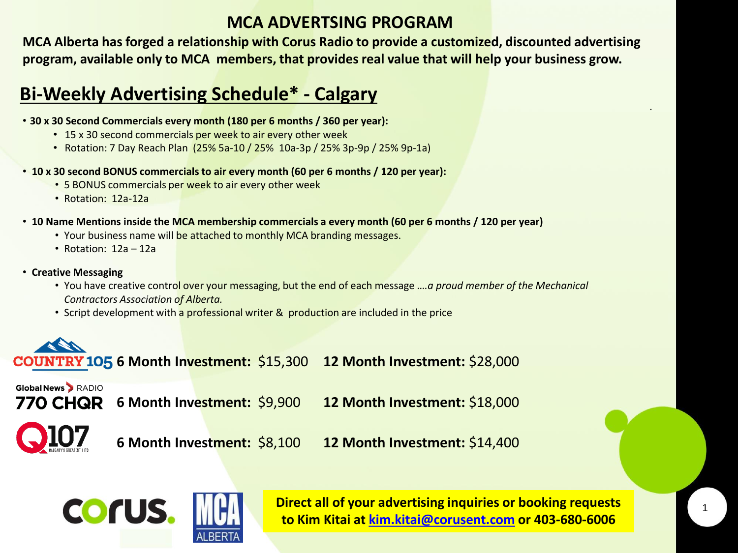## **MCA ADVERTSING PROGRAM**

**MCA Alberta has forged a relationship with Corus Radio to provide a customized, discounted advertising program, available only to MCA members, that provides real value that will help your business grow.**

## **Bi-Weekly Advertising Schedule\* - Calgary**

- **30 x 30 Second Commercials every month (180 per 6 months / 360 per year):**
	- 15 x 30 second commercials per week to air every other week
	- Rotation: 7 Day Reach Plan (25% 5a-10 / 25% 10a-3p / 25% 3p-9p / 25% 9p-1a)
- **10 x 30 second BONUS commercials to air every month (60 per 6 months / 120 per year):**
	- 5 BONUS commercials per week to air every other week
	- Rotation: 12a-12a
- **10 Name Mentions inside the MCA membership commercials a every month (60 per 6 months / 120 per year)** 
	- Your business name will be attached to monthly MCA branding messages.
	- Rotation: 12a 12a
- **Creative Messaging**
	- You have creative control over your messaging, but the end of each message .*…a proud member of the Mechanical Contractors Association of Alberta.*
	- Script development with a professional writer & production are included in the price



**Global News > RADIO** 

**6 Month Investment:** \$9,900 **12 Month Investment:** \$18,000



**6 Month Investment:** \$8,100 **12 Month Investment:** \$14,400



**Direct all of your advertising inquiries or booking requests to Kim Kitai at [kim.kitai@corusent.com](mailto:kim.Kitai@corusent.com) or 403-680-6006**

.